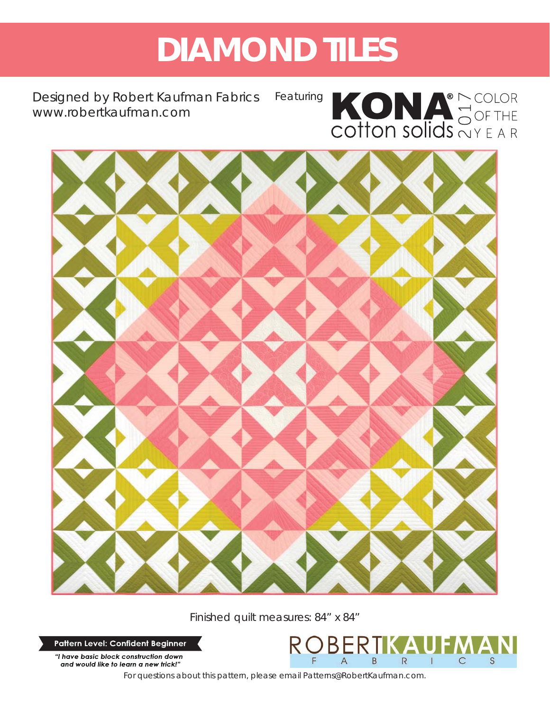# **DIAMOND TILES**

Designed by Robert Kaufman Fabrics *www.robertkaufman.com* Featuring



 $\overline{C}$ 

S

B

R



Finished quilt measures: 84" x 84"

Pattern Level: Confident Beginner

"I have basic block construction down and would like to learn a new trick!"

*For questions about this pattern, please email Patterns@RobertKaufman.com.*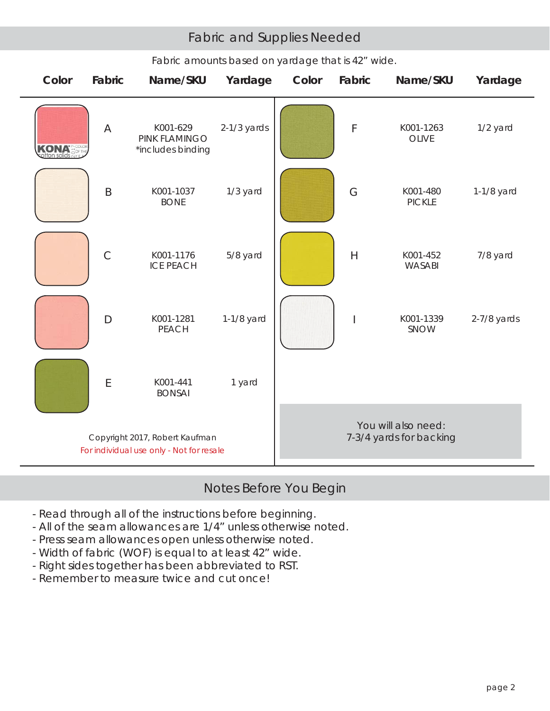# Fabric and Supplies Needed

| Color     | Fabric        | Name/SKU                                                                   | Yardage       | Color                                          | Fabric         | Name/SKU                  | Yardage       |  |  |
|-----------|---------------|----------------------------------------------------------------------------|---------------|------------------------------------------------|----------------|---------------------------|---------------|--|--|
| on solids | A             | K001-629<br>PINK FLAMINGO<br>*includes binding                             | $2-1/3$ yards |                                                | F              | K001-1263<br><b>OLIVE</b> | 1/2 yard      |  |  |
|           | $\sf B$       | K001-1037<br><b>BONE</b>                                                   | 1/3 yard      |                                                | G              | K001-480<br><b>PICKLE</b> | 1-1/8 yard    |  |  |
|           | $\mathcal{C}$ | K001-1176<br><b>ICE PEACH</b>                                              | 5/8 yard      |                                                | $\overline{H}$ | K001-452<br>WASABI        | 7/8 yard      |  |  |
|           | $\mathsf{D}$  | K001-1281<br><b>PEACH</b>                                                  | 1-1/8 yard    |                                                |                | K001-1339<br>SNOW         | $2-7/8$ yards |  |  |
|           | $\mathsf E$   | K001-441<br><b>BONSAI</b>                                                  | 1 yard        |                                                |                |                           |               |  |  |
|           |               | Copyright 2017, Robert Kaufman<br>For individual use only - Not for resale |               | You will also need:<br>7-3/4 yards for backing |                |                           |               |  |  |

## *Fabric amounts based on yardage that is 42" wide.*

# Notes Before You Begin

- Read through all of the instructions before beginning.
- All of the seam allowances are 1/4" unless otherwise noted.
- Press seam allowances open unless otherwise noted.
- Width of fabric (WOF) is equal to at least 42" wide.
- Right sides together has been abbreviated to RST.
- Remember to measure twice and cut once!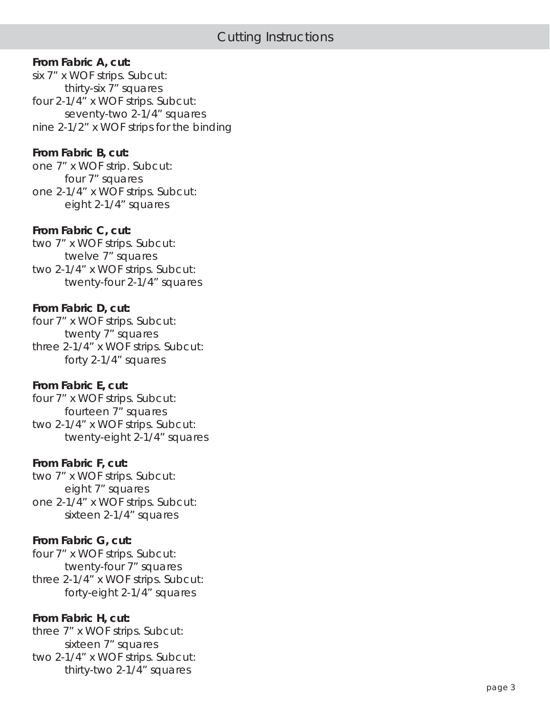#### **From Fabric A, cut:**

six 7" x WOF strips. Subcut: thirty-six 7" squares four 2-1/4" x WOF strips. Subcut: seventy-two 2-1/4" squares nine 2-1/2" x WOF strips for the binding

#### **From Fabric B, cut:**

one 7" x WOF strip. Subcut: four 7" squares one 2-1/4" x WOF strips. Subcut: eight 2-1/4" squares

#### **From Fabric C, cut:**

two 7" x WOF strips. Subcut: twelve 7" squares two 2-1/4" x WOF strips. Subcut: twenty-four 2-1/4" squares

## **From Fabric D, cut:**

four 7" x WOF strips. Subcut: twenty 7" squares three 2-1/4" x WOF strips. Subcut: forty 2-1/4" squares

#### **From Fabric E, cut:**

four 7" x WOF strips. Subcut: fourteen 7" squares two 2-1/4" x WOF strips. Subcut: twenty-eight 2-1/4" squares

#### **From Fabric F, cut:**

two 7" x WOF strips. Subcut: eight 7" squares one 2-1/4" x WOF strips. Subcut: sixteen 2-1/4" squares

## **From Fabric G, cut:**

four 7" x WOF strips. Subcut: twenty-four 7" squares three 2-1/4" x WOF strips. Subcut: forty-eight 2-1/4" squares

## **From Fabric H, cut:**

three 7" x WOF strips. Subcut: sixteen 7" squares two 2-1/4" x WOF strips. Subcut: thirty-two 2-1/4" squares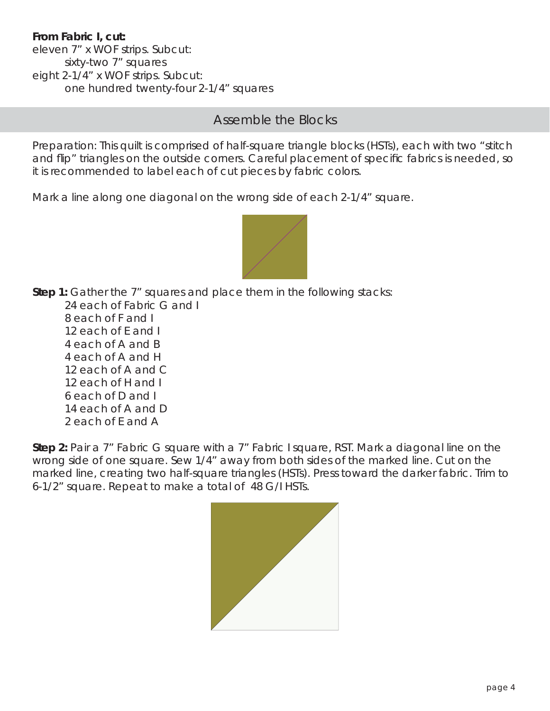# **From Fabric I, cut:**

eleven 7" x WOF strips. Subcut: sixty-two 7" squares eight 2-1/4" x WOF strips. Subcut: one hundred twenty-four 2-1/4" squares

# Assemble the Blocks

Preparation: This quilt is comprised of half-square triangle blocks (HSTs), each with two "stitch and flip" triangles on the outside corners. Careful placement of specific fabrics is needed, so it is recommended to label each of cut pieces by fabric colors.

Mark a line along one diagonal on the wrong side of each 2-1/4" square.



**Step 1:** Gather the 7" squares and place them in the following stacks:

 24 each of Fabric G and I 8 each of F and I 12 each of E and I 4 each of A and B 4 each of A and H 12 each of A and C 12 each of H and I 6 each of D and I 14 each of A and D 2 each of E and A

**Step 2:** Pair a 7" Fabric G square with a 7" Fabric I square, RST. Mark a diagonal line on the wrong side of one square. Sew 1/4" away from both sides of the marked line. Cut on the marked line, creating two half-square triangles (HSTs). Press toward the darker fabric. Trim to 6-1/2" square. Repeat to make a total of 48 G/I HSTs.

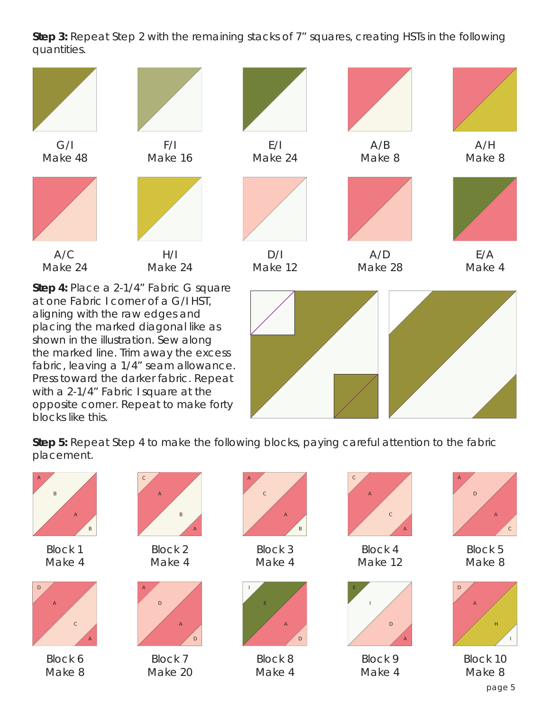**Step 3:** Repeat Step 2 with the remaining stacks of 7" squares, creating HSTs in the following quantities.



placing the marked diagonal like as shown in the illustration. Sew along the marked line. Trim away the excess fabric, leaving a 1/4" seam allowance. Press toward the darker fabric. Repeat with a 2-1/4" Fabric I square at the opposite corner. Repeat to make forty blocks like this.



**Step 5:** Repeat Step 4 to make the following blocks, paying careful attention to the fabric placement.

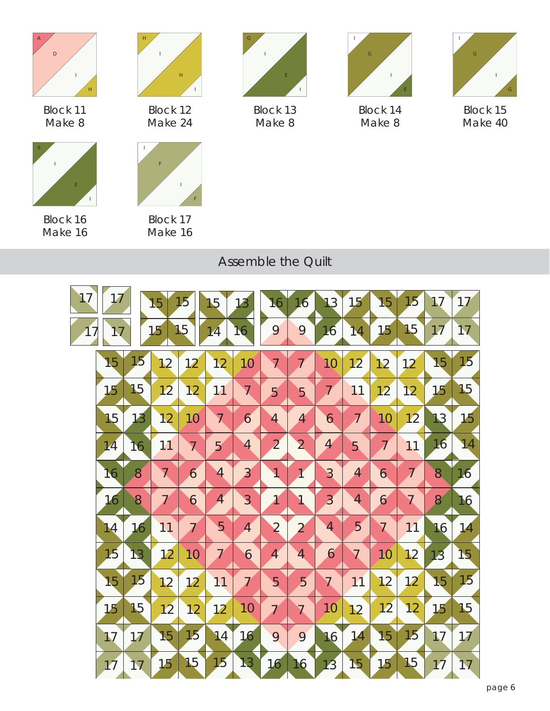

Block 11 Make 8



Block 12 Make 24



Block 16 Make 16

I

I

E



Block 17 Make 16



Block 13 Make 8



Block 14 Make 8



Block 15 Make 40

# Assemble the Quilt

| 17 | 17 |    | 15                   | 15                | 15                | 13                | 16             | 16                      | 13                        | 15                   | 15                   | 15             | 17             | 17 |
|----|----|----|----------------------|-------------------|-------------------|-------------------|----------------|-------------------------|---------------------------|----------------------|----------------------|----------------|----------------|----|
| 17 | 17 |    | 15                   | 15                | 14                | 16                | 9              | 9                       | 16                        | 14                   | 15                   | 15             | 17             | 17 |
|    | 15 | 15 | 12                   | 12                | 12                | 10                | $\overline{7}$ | 7                       | 10                        | 12                   | 12                   | 12             | 15             | 15 |
|    | 15 | 15 | 12                   | 12                | 11                | $\overline{\chi}$ | 5              | 5                       | $\overline{\overline{I}}$ | 11                   | 12                   | 12             | 15             | 15 |
|    | 15 | 13 | 12                   | 10 <sup>°</sup>   | $\overline{\chi}$ | 6                 | $\overline{4}$ | $\overline{4}$          | 6                         | $\overline{A}$       | 10                   | 12             | 13             | 15 |
|    | 14 | 16 | 11                   | $\overline{\chi}$ | 5                 | $\overline{4}$    | $\overline{2}$ | $\overline{2}$          | $\overline{4}$            | 5                    | $\overline{A}$       | 11             | 16             | 14 |
|    | 16 | 8  | $\overline{\lambda}$ | $\overline{6}$    | $\overline{4}$    | $\overline{3}$    | 1              | $\overline{1}$          | 3                         | $\overline{A}$       | $\overline{6}$       | $\overline{I}$ | 8              | 16 |
|    | 16 | 8  | $\overline{I}$       | 6                 | $\overline{A}$    | $\overline{3}$    | $\overline{1}$ | $\overline{\mathbf{V}}$ | $\overline{3}$            | 4                    | 6                    | $\overline{7}$ | 8 <sup>′</sup> | 16 |
|    | 14 | 16 | 11                   | $\overline{I}$    | 5                 | $\overline{A}$    | $\overline{2}$ | $\overline{2}$          | 4                         | 5                    | $\overline{\lambda}$ | 11             | 16             | 14 |
|    | 15 | 13 | 12                   | 10                | $\overline{I}$    | 6                 | $\overline{A}$ | $\blacktriangleleft$    | 6                         | $\overline{\lambda}$ | 10                   | 12             | 13             | 15 |
|    | 15 | 15 | 12                   | 12                | 11                | $\overline{I}$    | $\overline{5}$ | 5                       | $\overline{7}$            | 11                   | 12                   | 12             | 15             | 15 |
|    | 15 | 15 | 12                   | 12                | 12                | 10                | $\overline{I}$ | $\overline{\lambda}$    | 10                        | 12                   | 12                   | 12             | 15             | 15 |
|    | 17 | 17 | 15                   | 15                | 14                | 16                | 9              | 9                       | 16                        | 14                   | 15                   | 15             | 17             | 17 |
|    | 17 | 17 | 15                   | 15                | 15                | 13                | 16             | 16                      | 13                        | 15                   | 15                   | 15             | 17             | 17 |